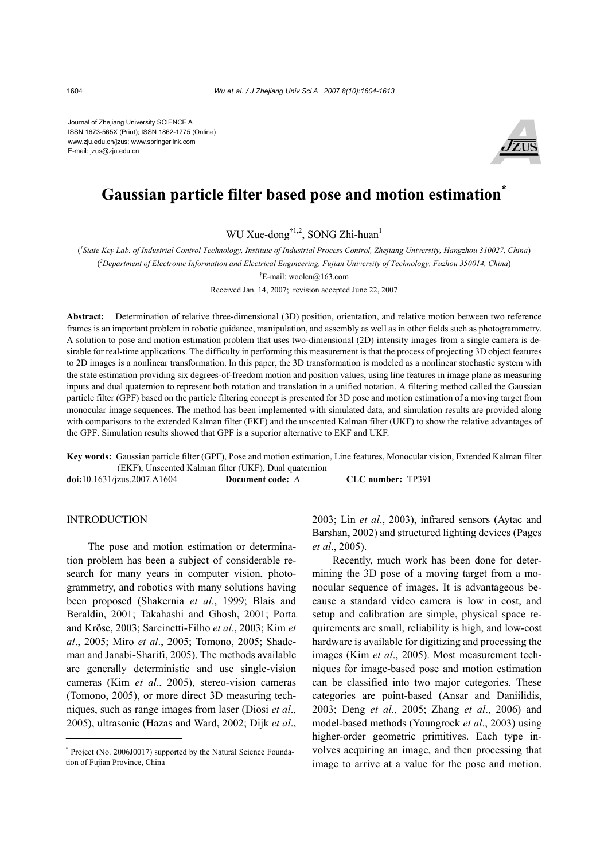Journal of Zhejiang University SCIENCE A ISSN 1673-565X (Print); ISSN 1862-1775 (Online) www.zju.edu.cn/jzus; www.springerlink.com E-mail: jzus@zju.edu.cn



# **Gaussian particle filter based pose and motion estimation\***

WU Xue-dong<sup>†1,2</sup>, SONG Zhi-huan<sup>1</sup>

( *1 State Key Lab. of Industrial Control Technology, Institute of Industrial Process Control, Zhejiang University, Hangzhou 310027, China*) ( *2 Department of Electronic Information and Electrical Engineering, Fujian University of Technology, Fuzhou 350014, China*)

† E-mail: woolcn@163.com

Received Jan. 14, 2007; revision accepted June 22, 2007

**Abstract:** Determination of relative three-dimensional (3D) position, orientation, and relative motion between two reference frames is an important problem in robotic guidance, manipulation, and assembly as well as in other fields such as photogrammetry. A solution to pose and motion estimation problem that uses two-dimensional (2D) intensity images from a single camera is desirable for real-time applications. The difficulty in performing this measurement is that the process of projecting 3D object features to 2D images is a nonlinear transformation. In this paper, the 3D transformation is modeled as a nonlinear stochastic system with the state estimation providing six degrees-of-freedom motion and position values, using line features in image plane as measuring inputs and dual quaternion to represent both rotation and translation in a unified notation. A filtering method called the Gaussian particle filter (GPF) based on the particle filtering concept is presented for 3D pose and motion estimation of a moving target from monocular image sequences. The method has been implemented with simulated data, and simulation results are provided along with comparisons to the extended Kalman filter (EKF) and the unscented Kalman filter (UKF) to show the relative advantages of the GPF. Simulation results showed that GPF is a superior alternative to EKF and UKF.

**Key words:** Gaussian particle filter (GPF), Pose and motion estimation, Line features, Monocular vision, Extended Kalman filter (EKF), Unscented Kalman filter (UKF), Dual quaternion

**doi:**10.1631/jzus.2007.A1604 **Document code:** A **CLC number:** TP391

# INTRODUCTION

The pose and motion estimation or determination problem has been a subject of considerable research for many years in computer vision, photogrammetry, and robotics with many solutions having been proposed (Shakernia *et al*., 1999; Blais and Beraldin, 2001; Takahashi and Ghosh, 2001; Porta and Kröse, 2003; Sarcinetti-Filho *et al*., 2003; Kim *et al*., 2005; Miro *et al*., 2005; Tomono, 2005; Shademan and Janabi-Sharifi, 2005). The methods available are generally deterministic and use single-vision cameras (Kim *et al*., 2005), stereo-vision cameras (Tomono, 2005), or more direct 3D measuring techniques, such as range images from laser (Diosi *et al*., 2005), ultrasonic (Hazas and Ward, 2002; Dijk *et al*.,

2003; Lin *et al*., 2003), infrared sensors (Aytac and Barshan, 2002) and structured lighting devices (Pages *et al*., 2005).

Recently, much work has been done for determining the 3D pose of a moving target from a monocular sequence of images. It is advantageous because a standard video camera is low in cost, and setup and calibration are simple, physical space requirements are small, reliability is high, and low-cost hardware is available for digitizing and processing the images (Kim *et al*., 2005). Most measurement techniques for image-based pose and motion estimation can be classified into two major categories. These categories are point-based (Ansar and Daniilidis, 2003; Deng *et al*., 2005; Zhang *et al*., 2006) and model-based methods (Youngrock *et al*., 2003) using higher-order geometric primitives. Each type involves acquiring an image, and then processing that image to arrive at a value for the pose and motion.

<sup>\*</sup> Project (No. 2006J0017) supported by the Natural Science Foundation of Fujian Province, China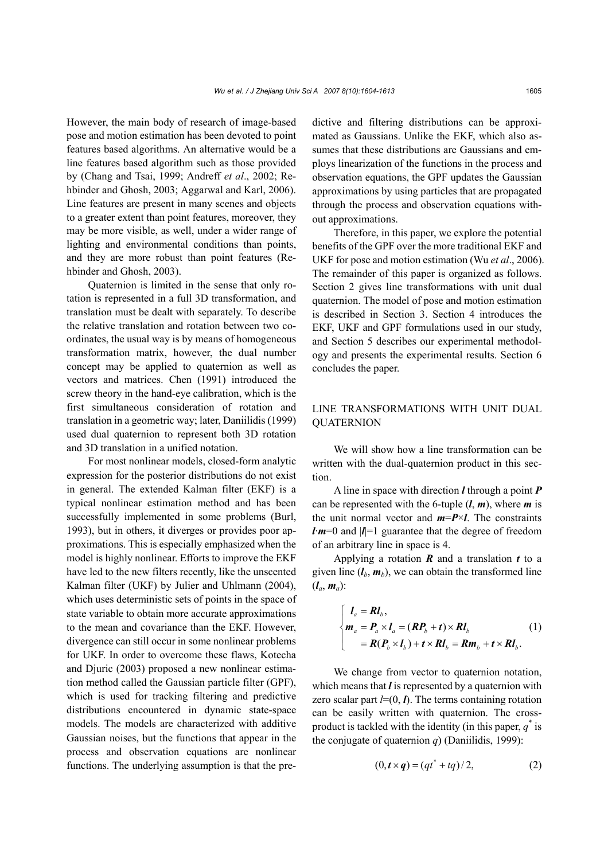However, the main body of research of image-based pose and motion estimation has been devoted to point features based algorithms. An alternative would be a line features based algorithm such as those provided by (Chang and Tsai, 1999; Andreff *et al*., 2002; Rehbinder and Ghosh, 2003; Aggarwal and Karl, 2006). Line features are present in many scenes and objects to a greater extent than point features, moreover, they may be more visible, as well, under a wider range of lighting and environmental conditions than points, and they are more robust than point features (Rehbinder and Ghosh, 2003).

Quaternion is limited in the sense that only rotation is represented in a full 3D transformation, and translation must be dealt with separately. To describe the relative translation and rotation between two coordinates, the usual way is by means of homogeneous transformation matrix, however, the dual number concept may be applied to quaternion as well as vectors and matrices. Chen (1991) introduced the screw theory in the hand-eye calibration, which is the first simultaneous consideration of rotation and translation in a geometric way; later, Daniilidis (1999) used dual quaternion to represent both 3D rotation and 3D translation in a unified notation.

For most nonlinear models, closed-form analytic expression for the posterior distributions do not exist in general. The extended Kalman filter (EKF) is a typical nonlinear estimation method and has been successfully implemented in some problems (Burl, 1993), but in others, it diverges or provides poor approximations. This is especially emphasized when the model is highly nonlinear. Efforts to improve the EKF have led to the new filters recently, like the unscented Kalman filter (UKF) by Julier and Uhlmann (2004), which uses deterministic sets of points in the space of state variable to obtain more accurate approximations to the mean and covariance than the EKF. However, divergence can still occur in some nonlinear problems for UKF. In order to overcome these flaws, Kotecha and Djuric (2003) proposed a new nonlinear estimation method called the Gaussian particle filter (GPF), which is used for tracking filtering and predictive distributions encountered in dynamic state-space models. The models are characterized with additive Gaussian noises, but the functions that appear in the process and observation equations are nonlinear functions. The underlying assumption is that the predictive and filtering distributions can be approximated as Gaussians. Unlike the EKF, which also assumes that these distributions are Gaussians and employs linearization of the functions in the process and observation equations, the GPF updates the Gaussian approximations by using particles that are propagated through the process and observation equations without approximations.

Therefore, in this paper, we explore the potential benefits of the GPF over the more traditional EKF and UKF for pose and motion estimation (Wu *et al*., 2006). The remainder of this paper is organized as follows. Section 2 gives line transformations with unit dual quaternion. The model of pose and motion estimation is described in Section 3. Section 4 introduces the EKF, UKF and GPF formulations used in our study, and Section 5 describes our experimental methodology and presents the experimental results. Section 6 concludes the paper.

# LINE TRANSFORMATIONS WITH UNIT DUAL QUATERNION

We will show how a line transformation can be written with the dual-quaternion product in this section.

A line in space with direction *l* through a point *P* can be represented with the 6-tuple (*l*, *m*), where *m* is the unit normal vector and  $m = P \times l$ . The constraints *l*·*m*=0 and |*l*|=1 guarantee that the degree of freedom of an arbitrary line in space is 4.

Applying a rotation *R* and a translation *t* to a given line  $(l_b, m_b)$ , we can obtain the transformed line  $(l_a, m_a)$ :

$$
\begin{cases}\nI_a = RI_b, \\
m_a = P_a \times I_a = (RP_b + t) \times RI_b \\
= R(P_b \times I_b) + t \times RI_b = Rm_b + t \times RI_b.\n\end{cases}
$$
\n(1)

We change from vector to quaternion notation, which means that *l* is represented by a quaternion with zero scalar part  $l=(0, l)$ . The terms containing rotation can be easily written with quaternion. The crossproduct is tackled with the identity (in this paper,  $q^*$  is the conjugate of quaternion  $q$ ) (Daniilidis, 1999):

$$
(0, t \times q) = (qt^* + tq)/2,
$$
 (2)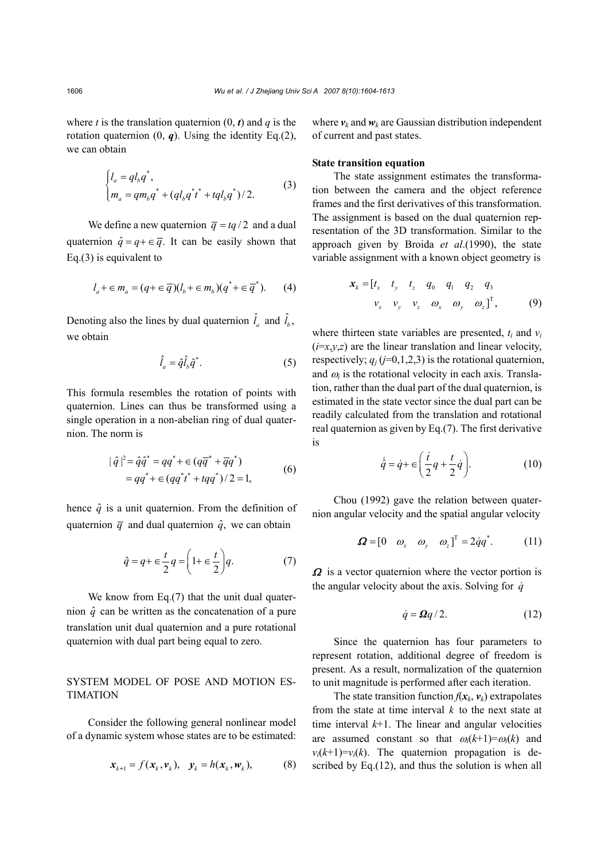where *t* is the translation quaternion  $(0, t)$  and *q* is the rotation quaternion  $(0, q)$ . Using the identity Eq.(2), we can obtain

$$
\begin{cases}\n l_a = q l_b q^*, \\
 m_a = q m_b q^* + (q l_b q^* t^* + t q l_b q^*)/2.\n\end{cases}
$$
\n(3)

We define a new quaternion  $\overline{q} = tq/2$  and a dual quaternion  $\hat{q} = q + \epsilon \overline{q}$ . It can be easily shown that Eq.(3) is equivalent to

$$
l_a + \epsilon m_a = (q + \epsilon \overline{q})(l_b + \epsilon m_b)(q^* + \epsilon \overline{q}^*).
$$
 (4)

Denoting also the lines by dual quaternion  $\hat{l}_a$  and  $\hat{l}_b$ , we obtain

$$
\hat{l}_a = \hat{q}\hat{l}_b\hat{q}^*.\tag{5}
$$

This formula resembles the rotation of points with quaternion. Lines can thus be transformed using a single operation in a non-abelian ring of dual quaternion. The norm is

$$
|\hat{q}|^2 = \hat{q}\hat{q}^* = qq^* + \in (q\overline{q}^* + \overline{q}q^*)
$$
  
=  $qq^* + \in (qq^*i^* + tqq^*)/2 = 1,$  (6)

hence  $\hat{q}$  is a unit quaternion. From the definition of quaternion  $\overline{q}$  and dual quaternion  $\hat{q}$ , we can obtain

$$
\hat{q} = q + \epsilon \frac{t}{2} q = \left( 1 + \epsilon \frac{t}{2} \right) q. \tag{7}
$$

We know from Eq.(7) that the unit dual quaternion  $\hat{q}$  can be written as the concatenation of a pure translation unit dual quaternion and a pure rotational quaternion with dual part being equal to zero.

# SYSTEM MODEL OF POSE AND MOTION ES-TIMATION

Consider the following general nonlinear model of a dynamic system whose states are to be estimated:

$$
\mathbf{x}_{k+1} = f(\mathbf{x}_k, \mathbf{v}_k), \quad \mathbf{y}_k = h(\mathbf{x}_k, \mathbf{w}_k), \tag{8}
$$

where  $v_k$  and  $w_k$  are Gaussian distribution independent of current and past states.

## **State transition equation**

The state assignment estimates the transformation between the camera and the object reference frames and the first derivatives of this transformation. The assignment is based on the dual quaternion representation of the 3D transformation. Similar to the approach given by Broida *et al*.(1990), the state variable assignment with a known object geometry is

$$
\mathbf{x}_{k} = \begin{bmatrix} t_{x} & t_{y} & t_{z} & q_{0} & q_{1} & q_{2} & q_{3} \\ v_{x} & v_{y} & v_{z} & \omega_{x} & \omega_{y} & \omega_{z} \end{bmatrix}^{T}, \quad (9)
$$

where thirteen state variables are presented,  $t_i$  and  $v_i$  $(i=x,y,z)$  are the linear translation and linear velocity, respectively;  $q_j$  ( $j=0,1,2,3$ ) is the rotational quaternion, and  $\omega_i$  is the rotational velocity in each axis. Translation, rather than the dual part of the dual quaternion, is estimated in the state vector since the dual part can be readily calculated from the translation and rotational real quaternion as given by Eq.(7). The first derivative is

$$
\dot{\hat{q}} = \dot{q} + \epsilon \left( \frac{\dot{t}}{2} q + \frac{t}{2} \dot{q} \right). \tag{10}
$$

Chou (1992) gave the relation between quaternion angular velocity and the spatial angular velocity

$$
\boldsymbol{\Omega} = [0 \quad \omega_x \quad \omega_y \quad \omega_z]^T = 2\dot{q}q^*.
$$
 (11)

 $\Omega$  is a vector quaternion where the vector portion is the angular velocity about the axis. Solving for  $\dot{q}$ 

$$
\dot{q} = \Omega q / 2. \tag{12}
$$

Since the quaternion has four parameters to represent rotation, additional degree of freedom is present. As a result, normalization of the quaternion to unit magnitude is performed after each iteration.

The state transition function  $f(x_k, v_k)$  extrapolates from the state at time interval *k* to the next state at time interval  $k+1$ . The linear and angular velocities are assumed constant so that  $\omega_i(k+1) = \omega_i(k)$  and  $v_i(k+1)=v_i(k)$ . The quaternion propagation is described by Eq.(12), and thus the solution is when all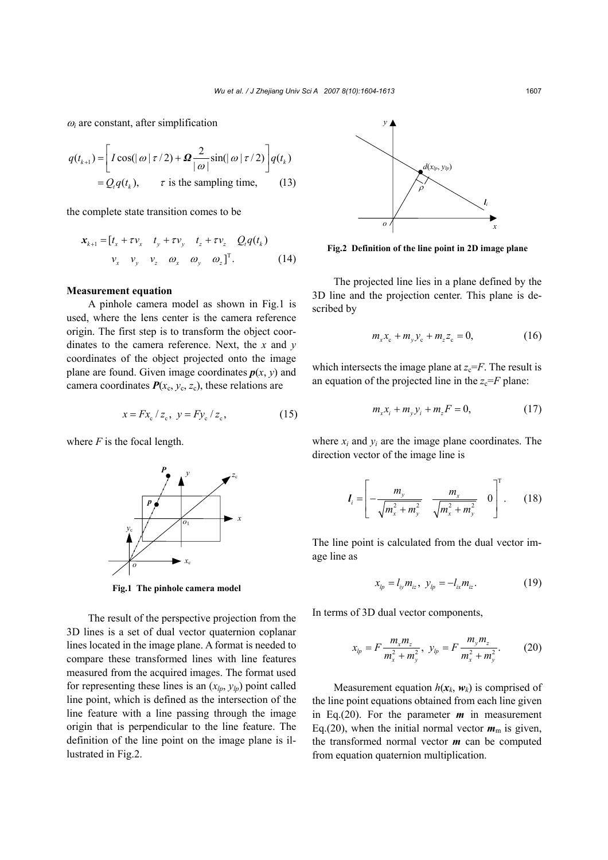$\omega_i$  are constant, after simplification

$$
q(t_{k+1}) = \left[ I \cos(|\omega| \tau/2) + \mathbf{\Omega} \frac{2}{|\omega|} \sin(|\omega| \tau/2) \right] q(t_k)
$$
  
=  $Q_i q(t_k)$ ,  $\tau$  is the sampling time, (13)

the complete state transition comes to be

$$
\mathbf{x}_{k+1} = [t_x + \tau v_x \quad t_y + \tau v_y \quad t_z + \tau v_z \quad Q_t q(t_k)
$$
  

$$
v_x \quad v_y \quad v_z \quad \omega_x \quad \omega_y \quad \omega_z]^T. \tag{14}
$$

#### **Measurement equation**

A pinhole camera model as shown in Fig.1 is used, where the lens center is the camera reference origin. The first step is to transform the object coordinates to the camera reference. Next, the *x* and *y* coordinates of the object projected onto the image plane are found. Given image coordinates  $p(x, y)$  and camera coordinates  $P(x_c, y_c, z_c)$ , these relations are

$$
x = Fx_c / z_c, \ y = Fy_c / z_c,
$$
 (15)

where  $F$  is the focal length.



**Fig.1 The pinhole camera model**

The result of the perspective projection from the 3D lines is a set of dual vector quaternion coplanar lines located in the image plane. A format is needed to compare these transformed lines with line features measured from the acquired images. The format used for representing these lines is an  $(x_{lp}, y_{lp})$  point called line point, which is defined as the intersection of the line feature with a line passing through the image origin that is perpendicular to the line feature. The definition of the line point on the image plane is illustrated in Fig.2.



**Fig.2 Definition of the line point in 2D image plane**

The projected line lies in a plane defined by the 3D line and the projection center. This plane is described by

$$
m_{x}x_{c} + m_{y}y_{c} + m_{z}z_{c} = 0, \qquad (16)
$$

which intersects the image plane at  $z_c = F$ . The result is an equation of the projected line in the  $z_c = F$  plane:

$$
m_{x}x_{i} + m_{y}y_{i} + m_{z}F = 0, \qquad (17)
$$

where  $x_i$  and  $y_i$  are the image plane coordinates. The direction vector of the image line is

$$
I_{i} = \left[ -\frac{m_{y}}{\sqrt{m_{x}^{2} + m_{y}^{2}}} \frac{m_{x}}{\sqrt{m_{x}^{2} + m_{y}^{2}}} 0 \right]^{T}.
$$
 (18)

The line point is calculated from the dual vector image line as

$$
x_{lp} = l_{iy} m_{iz}, \ y_{lp} = -l_{ix} m_{iz}. \tag{19}
$$

In terms of 3D dual vector components,

$$
x_{lp} = F \frac{m_x m_z}{m_x^2 + m_y^2}, \ y_{lp} = F \frac{m_y m_z}{m_x^2 + m_y^2}.
$$
 (20)

Measurement equation  $h(x_k, w_k)$  is comprised of the line point equations obtained from each line given in Eq.(20). For the parameter *m* in measurement Eq.(20), when the initial normal vector  $m<sub>m</sub>$  is given, the transformed normal vector *m* can be computed from equation quaternion multiplication.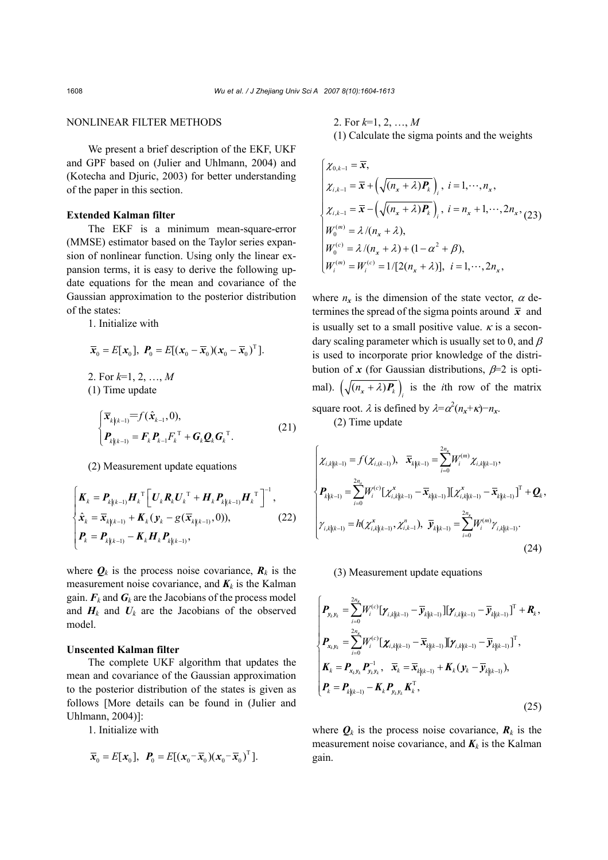## NONLINEAR FILTER METHODS

We present a brief description of the EKF, UKF and GPF based on (Julier and Uhlmann, 2004) and (Kotecha and Djuric, 2003) for better understanding of the paper in this section.

## **Extended Kalman filter**

The EKF is a minimum mean-square-error (MMSE) estimator based on the Taylor series expansion of nonlinear function. Using only the linear expansion terms, it is easy to derive the following update equations for the mean and covariance of the Gaussian approximation to the posterior distribution of the states:

1. Initialize with

$$
\bar{x}_0 = E[x_0], \ \bm{P}_0 = E[(x_0 - \bar{x}_0)(x_0 - \bar{x}_0)^T].
$$
  
2. For  $k=1, 2, ..., M$ 

(1) Time update

$$
\begin{cases} \overline{\mathbf{x}}_{k|k-1} = f(\hat{\mathbf{x}}_{k-1}, 0), \\ \mathbf{P}_{k|k-1} = \mathbf{F}_k \mathbf{P}_{k-1} F_k^{\mathrm{T}} + \mathbf{G}_k \mathbf{Q}_k \mathbf{G}_k^{\mathrm{T}}. \end{cases} (21)
$$

(2) Measurement update equations

$$
\begin{cases}\nK_{k} = P_{k|k-1} H_{k}^{\mathrm{T}} \left[ U_{k} R_{k} U_{k}^{\mathrm{T}} + H_{k} P_{k|k-1} H_{k}^{\mathrm{T}} \right]^{-1}, \\
\hat{x}_{k} = \overline{X}_{k|k-1} + K_{k} (y_{k} - g(\overline{X}_{k|k-1}), 0)), \\
P_{k} = P_{k|k-1} - K_{k} H_{k} P_{k|k-1},\n\end{cases}
$$
\n(22)

where  $Q_k$  is the process noise covariance,  $R_k$  is the measurement noise covariance, and  $K_k$  is the Kalman gain.  $\mathbf{F}_k$  and  $\mathbf{G}_k$  are the Jacobians of the process model and  $H_k$  and  $U_k$  are the Jacobians of the observed model.

## **Unscented Kalman filter**

The complete UKF algorithm that updates the mean and covariance of the Gaussian approximation to the posterior distribution of the states is given as follows [More details can be found in (Julier and Uhlmann, 2004)]:

1. Initialize with

$$
\overline{\mathbf{x}}_0 = E[\mathbf{x}_0], \ \mathbf{P}_0 = E[(\mathbf{x}_0 - \overline{\mathbf{x}}_0)(\mathbf{x}_0 - \overline{\mathbf{x}}_0)^T].
$$

2. For *k*=1, 2, …, *M* (1) Calculate the sigma points and the weights

$$
\begin{cases}\n\chi_{0,k-1} = \overline{x}, \\
\chi_{i,k-1} = \overline{x} + \left(\sqrt{(n_x + \lambda)P_k}\right)_i, \ i = 1, \cdots, n_x, \\
\chi_{i,k-1} = \overline{x} - \left(\sqrt{(n_x + \lambda)P_k}\right)_i, \ i = n_x + 1, \cdots, 2n_x, \\
W_0^{(m)} = \lambda/(n_x + \lambda), \\
W_0^{(c)} = \lambda/(n_x + \lambda) + (1 - \alpha^2 + \beta), \\
W_i^{(m)} = W_i^{(c)} = 1/[2(n_x + \lambda)], \ i = 1, \cdots, 2n_x,\n\end{cases}
$$

where  $n_x$  is the dimension of the state vector,  $\alpha$  determines the spread of the sigma points around  $\bar{x}$  and is usually set to a small positive value.  $\kappa$  is a secondary scaling parameter which is usually set to 0, and  $\beta$ is used to incorporate prior knowledge of the distribution of *x* (for Gaussian distributions,  $\beta$ =2 is optimal).  $(\sqrt{(n_x + \lambda)P_k})$  is the *i*th row of the matrix square root.  $\lambda$  is defined by  $\lambda = \alpha^2 (n_x + \kappa) - n_x$ .

(2) Time update

$$
\begin{cases}\n\chi_{i,k|(k-1)} = f(\chi_{i,(k-1)}), & \bar{x}_{k|(k-1)} = \sum_{i=0}^{2n_x} W_i^{(m)} \chi_{i,k|(k-1)}, \\
P_{k|(k-1)} = \sum_{i=0}^{2n_x} W_i^{(c)} [\chi_{i,k|(k-1)}^x - \bar{x}_{k|(k-1)}] [\chi_{i,k|(k-1)}^x - \bar{x}_{k|(k-1)}^x]^T + \mathbf{Q}_k, \\
\gamma_{i,k|(k-1)} = h(\chi_{i,k|(k-1)}^x, \chi_{i,k-1}^n), & \bar{y}_{k|(k-1)} = \sum_{i=0}^{2n_x} W_i^{(m)} \gamma_{i,k|(k-1)}.\n\end{cases}
$$
\n(24)

(3) Measurement update equations

$$
\begin{cases}\nP_{y_k y_k} = \sum_{i=0}^{2n_x} W_i^{(c)} [\gamma_{i,k|(k-1)} - \overline{y}_{k|(k-1)}] [\gamma_{i,k|(k-1)} - \overline{y}_{k|(k-1)}]^T + R_k, \\
P_{x_k y_k} = \sum_{i=0}^{2n_x} W_i^{(c)} [\chi_{i,k|(k-1)} - \overline{x}_{k|(k-1)}] [\gamma_{i,k|(k-1)} - \overline{y}_{k|(k-1)}]^T, \\
K_k = P_{x_k y_k} P_{y_k y_k}^{-1}, \quad \overline{x}_k = \overline{x}_{k|(k-1)} + K_k (y_k - \overline{y}_{k|(k-1)}), \\
P_k = P_{k|(k-1)} - K_k P_{y_k y_k} K_k^T,\n\end{cases}
$$
\n(25)

where  $Q_k$  is the process noise covariance,  $R_k$  is the measurement noise covariance, and  $K_k$  is the Kalman gain.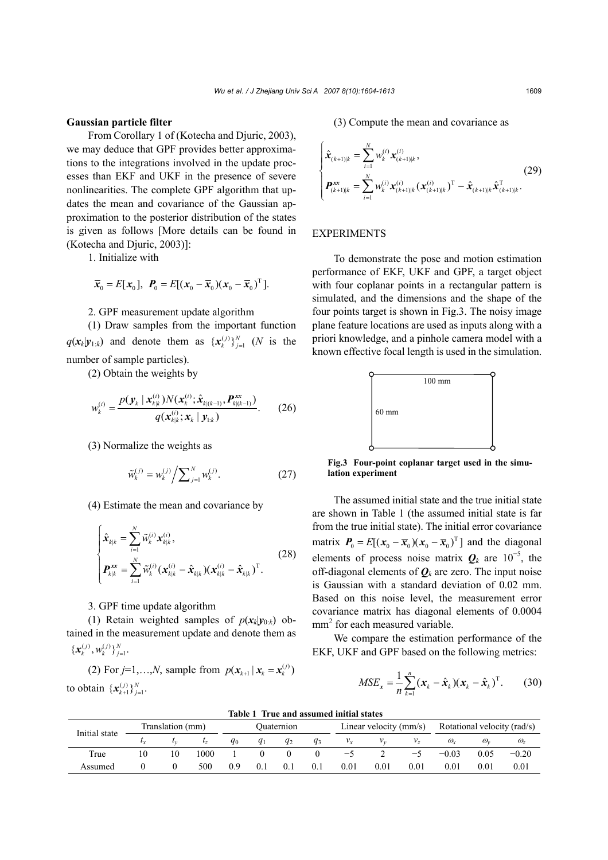#### **Gaussian particle filter**

From Corollary 1 of (Kotecha and Djuric, 2003), we may deduce that GPF provides better approximations to the integrations involved in the update processes than EKF and UKF in the presence of severe nonlinearities. The complete GPF algorithm that updates the mean and covariance of the Gaussian approximation to the posterior distribution of the states is given as follows [More details can be found in (Kotecha and Djuric, 2003)]:

1. Initialize with

$$
\overline{\mathbf{x}}_0 = E[\mathbf{x}_0], \ \mathbf{P}_0 = E[(\mathbf{x}_0 - \overline{\mathbf{x}}_0)(\mathbf{x}_0 - \overline{\mathbf{x}}_0)^T].
$$

2. GPF measurement update algorithm

(1) Draw samples from the important function  $q(\mathbf{x}_k | \mathbf{y}_{1:k})$  and denote them as  $\{\mathbf{x}_k^{(j)}\}_{j=1}^N$  (*N* is the number of sample particles).

(2) Obtain the weights by

$$
w_k^{(i)} = \frac{p(\mathbf{y}_k \mid \mathbf{x}_{k|k}^{(i)}) N(\mathbf{x}_k^{(i)}; \hat{\mathbf{x}}_{k|k-1}, \mathbf{P}_{k|k-1}^{xx})}{q(\mathbf{x}_{k|k}^{(i)}; \mathbf{x}_k \mid \mathbf{y}_{1:k})}.
$$
 (26)

(3) Normalize the weights as

$$
\tilde{w}_{k}^{(j)} = w_{k}^{(j)} / \sum_{j=1}^{N} w_{k}^{(j)}.
$$
\n(27)

(4) Estimate the mean and covariance by

$$
\begin{cases}\n\hat{\mathbf{x}}_{k|k} = \sum_{i=1}^{N} \tilde{w}_k^{(i)} \mathbf{x}_{k|k}^{(i)}, \n\mathbf{P}_{k|k}^{\mathbf{x}} = \sum_{i=1}^{N} \tilde{w}_k^{(i)} (\mathbf{x}_{k|k}^{(i)} - \hat{\mathbf{x}}_{k|k}) (\mathbf{x}_{k|k}^{(i)} - \hat{\mathbf{x}}_{k|k})^{\mathrm{T}}.\n\end{cases}
$$
\n(28)

## 3. GPF time update algorithm

(1) Retain weighted samples of  $p(x_k|y_{0:k})$  obtained in the measurement update and denote them as  $\{ \mathbf{x}_{k}^{(j)}, \mathbf{w}_{k}^{(j)} \}_{j=1}^{N}$ .

(2) For  $j=1,...,N$ , sample from  $p(x_{k+1} | x_k = x_k^{(j)})$ to obtain  $\{x_{k+1}^{(j)}\}_{j=1}^N$ .

(3) Compute the mean and covariance as

$$
\begin{cases}\n\hat{\mathbf{x}}_{(k+1)|k} = \sum_{i=1}^{N} w_k^{(i)} \mathbf{x}_{(k+1)|k}^{(i)}, & (29) \\
P_{(k+1)|k}^{\mathbf{x}} = \sum_{i=1}^{N} w_k^{(i)} \mathbf{x}_{(k+1)|k}^{(i)} (\mathbf{x}_{(k+1)|k}^{(i)})^{\mathrm{T}} - \hat{\mathbf{x}}_{(k+1)|k} \hat{\mathbf{x}}_{(k+1)|k}^{\mathrm{T}}.\n\end{cases}
$$

#### EXPERIMENTS

To demonstrate the pose and motion estimation performance of EKF, UKF and GPF, a target object with four coplanar points in a rectangular pattern is simulated, and the dimensions and the shape of the four points target is shown in Fig.3. The noisy image plane feature locations are used as inputs along with a priori knowledge, and a pinhole camera model with a known effective focal length is used in the simulation.



**Fig.3 Four-point coplanar target used in the simulation experiment**

The assumed initial state and the true initial state are shown in Table 1 (the assumed initial state is far from the true initial state). The initial error covariance matrix  $P_0 = E[(x_0 - \overline{x}_0)(x_0 - \overline{x}_0)^T]$  and the diagonal elements of process noise matrix  $Q_k$  are 10<sup>-5</sup>, the off-diagonal elements of  $\mathbf{Q}_k$  are zero. The input noise is Gaussian with a standard deviation of 0.02 mm. Based on this noise level, the measurement error covariance matrix has diagonal elements of 0.0004 mm<sup>2</sup> for each measured variable.

We compare the estimation performance of the EKF, UKF and GPF based on the following metrics:

$$
MSE_x = \frac{1}{n} \sum_{k=1}^n (\boldsymbol{x}_k - \hat{\boldsymbol{x}}_k)(\boldsymbol{x}_k - \hat{\boldsymbol{x}}_k)^{\mathrm{T}}.
$$
 (30)

| TUMIN T. TI UN UNU UMMININU INITIHI MUTAN |                  |    |           |            |             |       |       |                        |          |            |                             |            |            |
|-------------------------------------------|------------------|----|-----------|------------|-------------|-------|-------|------------------------|----------|------------|-----------------------------|------------|------------|
| Initial state                             | Translation (mm) |    |           | Ouaternion |             |       |       | Linear velocity (mm/s) |          |            | Rotational velocity (rad/s) |            |            |
|                                           |                  |    | $\iota_z$ | $q_0$      | $q_1$       | $q_2$ | $q_3$ | $v_x$                  | $V_{12}$ | $V_{\tau}$ | $\omega_{r}$                | $\omega$   | $\omega_z$ |
| True                                      | 10               | 10 | 1000      |            |             |       |       | $\rightarrow$          |          | —          | $-0.03$                     | 0.05       | $-0.20$    |
| Assumed                                   |                  |    | 500       | 0.9        | $0_{\cdot}$ | $0$ . | 0.1   | 0.01                   | 0.01     | $\rm 0.01$ | $0.01\,$                    | $\rm 0.01$ | 0.01       |

**Table 1 True and assumed initial states**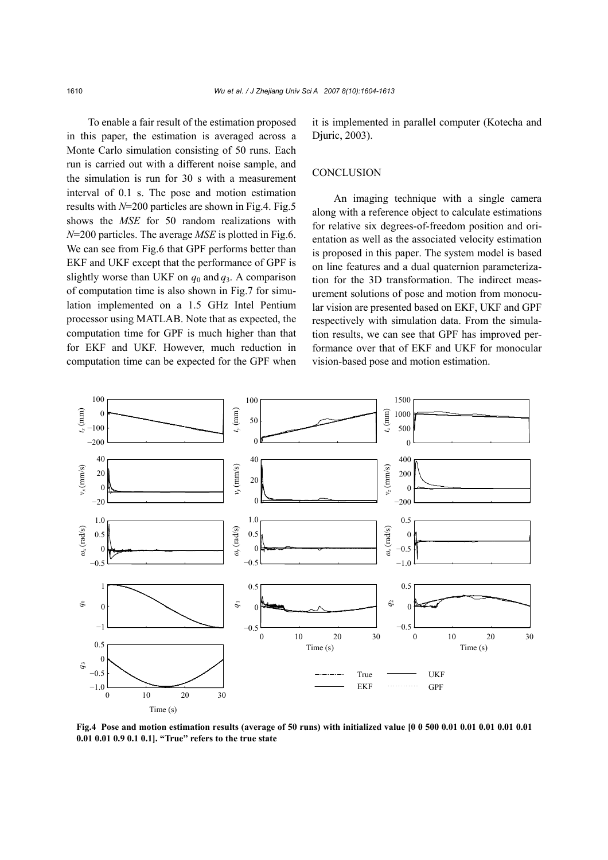To enable a fair result of the estimation proposed in this paper, the estimation is averaged across a Monte Carlo simulation consisting of 50 runs. Each run is carried out with a different noise sample, and the simulation is run for 30 s with a measurement interval of 0.1 s. The pose and motion estimation results with *N*=200 particles are shown in Fig.4. Fig.5 shows the *MSE* for 50 random realizations with *N*=200 particles. The average *MSE* is plotted in Fig.6. We can see from Fig.6 that GPF performs better than EKF and UKF except that the performance of GPF is slightly worse than UKF on  $q_0$  and  $q_3$ . A comparison of computation time is also shown in Fig.7 for simulation implemented on a 1.5 GHz Intel Pentium processor using MATLAB. Note that as expected, the computation time for GPF is much higher than that for EKF and UKF. However, much reduction in computation time can be expected for the GPF when

it is implemented in parallel computer (Kotecha and Djuric, 2003).

## **CONCLUSION**

An imaging technique with a single camera along with a reference object to calculate estimations for relative six degrees-of-freedom position and orientation as well as the associated velocity estimation is proposed in this paper. The system model is based on line features and a dual quaternion parameterization for the 3D transformation. The indirect measurement solutions of pose and motion from monocular vision are presented based on EKF, UKF and GPF respectively with simulation data. From the simulation results, we can see that GPF has improved performance over that of EKF and UKF for monocular vision-based pose and motion estimation.



**Fig.4 Pose and motion estimation results (average of 50 runs) with initialized value [0 0 500 0.01 0.01 0.01 0.01 0.01 0.01 0.01 0.9 0.1 0.1]. "True" refers to the true state**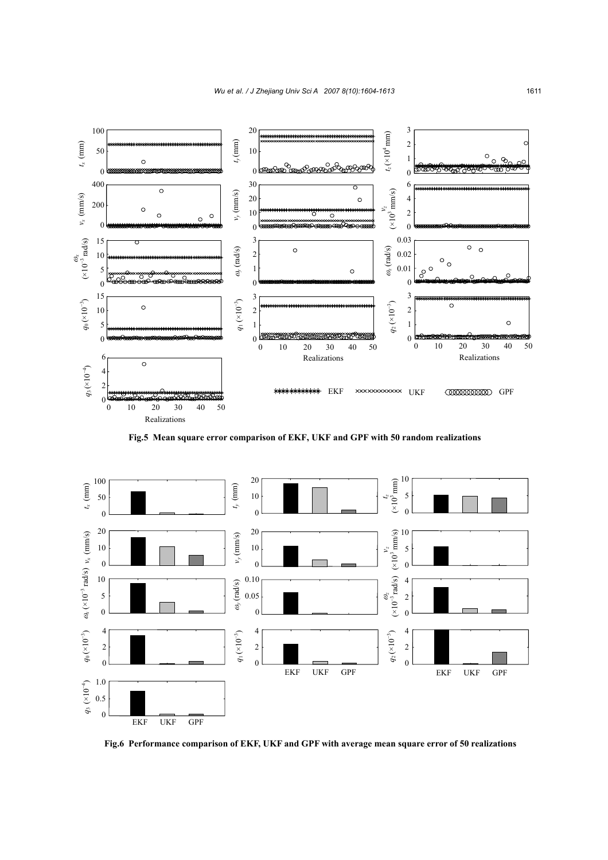

**Fig.5 Mean square error comparison of EKF, UKF and GPF with 50 random realizations**



**Fig.6 Performance comparison of EKF, UKF and GPF with average mean square error of 50 realizations**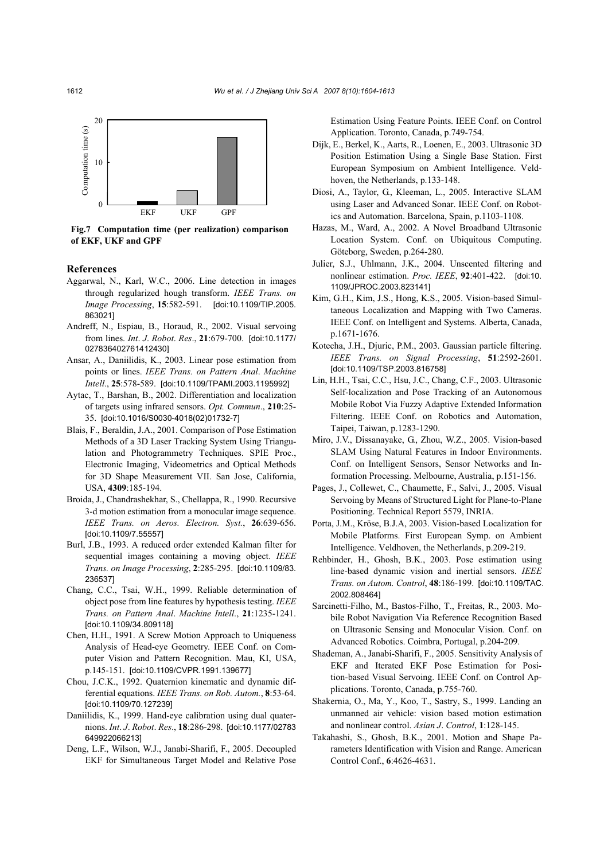

**Fig.7 Computation time (per realization) comparison of EKF, UKF and GPF**

#### **References**

- Aggarwal, N., Karl, W.C., 2006. Line detection in images through regularized hough transform. *IEEE Trans. on Image Processing*, **15**:582-591. [doi:10.1109/TIP.2005. 863021]
- Andreff, N., Espiau, B., Horaud, R., 2002. Visual servoing from lines. *Int*. *J*. *Robot*. *Res*., **21**:679-700. [doi:10.1177/ 027836402761412430]
- Ansar, A., Daniilidis, K., 2003. Linear pose estimation from points or lines. *IEEE Trans. on Pattern Anal*. *Machine Intell*., **25**:578-589. [doi:10.1109/TPAMI.2003.1195992]
- Aytac, T., Barshan, B., 2002. Differentiation and localization of targets using infrared sensors. *Opt. Commun*., **210**:25- 35. [doi:10.1016/S0030-4018(02)01732-7]
- Blais, F., Beraldin, J.A., 2001. Comparison of Pose Estimation Methods of a 3D Laser Tracking System Using Triangulation and Photogrammetry Techniques. SPIE Proc., Electronic Imaging, Videometrics and Optical Methods for 3D Shape Measurement VII. San Jose, California, USA, **4309**:185-194.
- Broida, J., Chandrashekhar, S., Chellappa, R., 1990. Recursive 3-d motion estimation from a monocular image sequence. *IEEE Trans. on Aeros. Electron. Syst.*, **26**:639-656. [doi:10.1109/7.55557]
- Burl, J.B., 1993. A reduced order extended Kalman filter for sequential images containing a moving object. *IEEE Trans. on Image Processing*, **2**:285-295. [doi:10.1109/83. 236537]
- Chang, C.C., Tsai, W.H., 1999. Reliable determination of object pose from line features by hypothesis testing. *IEEE Trans. on Pattern Anal*. *Machine Intell*., **21**:1235-1241. [doi:10.1109/34.809118]
- Chen, H.H., 1991. A Screw Motion Approach to Uniqueness Analysis of Head-eye Geometry. IEEE Conf. on Computer Vision and Pattern Recognition. Mau, KI, USA, p.145-151. [doi:10.1109/CVPR.1991.139677]
- Chou, J.C.K., 1992. Quaternion kinematic and dynamic differential equations. *IEEE Trans. on Rob. Autom.*, **8**:53-64. [doi:10.1109/70.127239]
- Daniilidis, K., 1999. Hand-eye calibration using dual quaternions. *Int*. *J*. *Robot*. *Res*., **18**:286-298. [doi:10.1177/02783 649922066213]
- Deng, L.F., Wilson, W.J., Janabi-Sharifi, F., 2005. Decoupled EKF for Simultaneous Target Model and Relative Pose

Estimation Using Feature Points. IEEE Conf. on Control Application. Toronto, Canada, p.749-754.

- Dijk, E., Berkel, K., Aarts, R., Loenen, E., 2003. Ultrasonic 3D Position Estimation Using a Single Base Station. First European Symposium on Ambient Intelligence. Veldhoven, the Netherlands, p.133-148.
- Diosi, A., Taylor, G., Kleeman, L., 2005. Interactive SLAM using Laser and Advanced Sonar. IEEE Conf. on Robotics and Automation. Barcelona, Spain, p.1103-1108.
- Hazas, M., Ward, A., 2002. A Novel Broadband Ultrasonic Location System. Conf. on Ubiquitous Computing. Göteborg, Sweden, p.264-280.
- Julier, S.J., Uhlmann, J.K., 2004. Unscented filtering and nonlinear estimation. *Proc. IEEE*, **92**:401-422. [doi:10. 1109/JPROC.2003.823141]
- Kim, G.H., Kim, J.S., Hong, K.S., 2005. Vision-based Simultaneous Localization and Mapping with Two Cameras. IEEE Conf. on Intelligent and Systems. Alberta, Canada, p.1671-1676.
- Kotecha, J.H., Djuric, P.M., 2003. Gaussian particle filtering. *IEEE Trans. on Signal Processing*, **51**:2592-2601. [doi:10.1109/TSP.2003.816758]
- Lin, H.H., Tsai, C.C., Hsu, J.C., Chang, C.F., 2003. Ultrasonic Self-localization and Pose Tracking of an Autonomous Mobile Robot Via Fuzzy Adaptive Extended Information Filtering. IEEE Conf. on Robotics and Automation, Taipei, Taiwan, p.1283-1290.
- Miro, J.V., Dissanayake, G., Zhou, W.Z., 2005. Vision-based SLAM Using Natural Features in Indoor Environments. Conf. on Intelligent Sensors, Sensor Networks and Information Processing. Melbourne, Australia, p.151-156.
- Pages, J., Collewet, C., Chaumette, F., Salvi, J., 2005. Visual Servoing by Means of Structured Light for Plane-to-Plane Positioning. Technical Report 5579, INRIA.
- Porta, J.M., Kröse, B.J.A, 2003. Vision-based Localization for Mobile Platforms. First European Symp. on Ambient Intelligence. Veldhoven, the Netherlands, p.209-219.
- Rehbinder, H., Ghosh, B.K., 2003. Pose estimation using line-based dynamic vision and inertial sensors. *IEEE Trans. on Autom. Control*, **48**:186-199. [doi:10.1109/TAC. 2002.808464]
- Sarcinetti-Filho, M., Bastos-Filho, T., Freitas, R., 2003. Mobile Robot Navigation Via Reference Recognition Based on Ultrasonic Sensing and Monocular Vision. Conf. on Advanced Robotics. Coimbra, Portugal, p.204-209.
- Shademan, A., Janabi-Sharifi, F., 2005. Sensitivity Analysis of EKF and Iterated EKF Pose Estimation for Position-based Visual Servoing. IEEE Conf. on Control Applications. Toronto, Canada, p.755-760.
- Shakernia, O., Ma, Y., Koo, T., Sastry, S., 1999. Landing an unmanned air vehicle: vision based motion estimation and nonlinear control. *Asian J*. *Control*, **1**:128-145.
- Takahashi, S., Ghosh, B.K., 2001. Motion and Shape Parameters Identification with Vision and Range. American Control Conf., **6**:4626-4631.